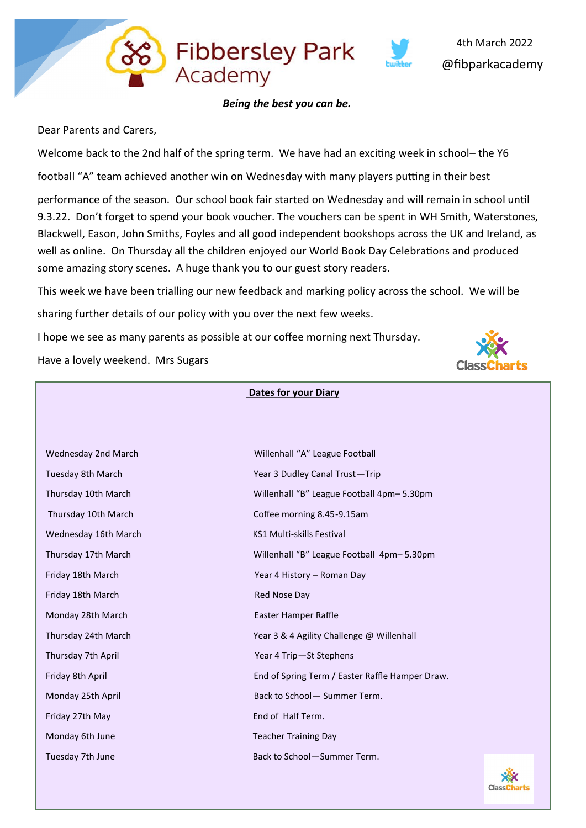Dear Parents and Carers,

Welcome back to the 2nd half of the spring term. We have had an exciting week in school– the Y6 football "A" team achieved another win on Wednesday with many players putting in their best

performance of the season. Our school book fair started on Wednesday and will remain in school until 9.3.22. Don't forget to spend your book voucher. The vouchers can be spent in WH Smith, Waterstones, Blackwell, Eason, John Smiths, Foyles and all good independent bookshops across the UK and Ireland, as well as online. On Thursday all the children enjoyed our World Book Day Celebrations and produced some amazing story scenes. A huge thank you to our guest story readers.

This week we have been trialling our new feedback and marking policy across the school. We will be sharing further details of our policy with you over the next few weeks.

I hope we see as many parents as possible at our coffee morning next Thursday.

Have a lovely weekend. Mrs Sugars

| <b>Dates for your Diary</b> |  |
|-----------------------------|--|
|-----------------------------|--|

| Wednesday 2nd March  | Willenhall "A" League Football                  |
|----------------------|-------------------------------------------------|
| Tuesday 8th March    | Year 3 Dudley Canal Trust-Trip                  |
| Thursday 10th March  | Willenhall "B" League Football 4pm-5.30pm       |
| Thursday 10th March  | Coffee morning 8.45-9.15am                      |
| Wednesday 16th March | KS1 Multi-skills Festival                       |
| Thursday 17th March  | Willenhall "B" League Football 4pm-5.30pm       |
| Friday 18th March    | Year 4 History - Roman Day                      |
| Friday 18th March    | Red Nose Day                                    |
| Monday 28th March    | Easter Hamper Raffle                            |
| Thursday 24th March  | Year 3 & 4 Agility Challenge @ Willenhall       |
| Thursday 7th April   | Year 4 Trip-St Stephens                         |
| Friday 8th April     | End of Spring Term / Easter Raffle Hamper Draw. |
| Monday 25th April    | Back to School- Summer Term.                    |
| Friday 27th May      | End of Half Term.                               |
| Monday 6th June      | <b>Teacher Training Day</b>                     |
| Tuesday 7th June     | Back to School-Summer Term.                     |





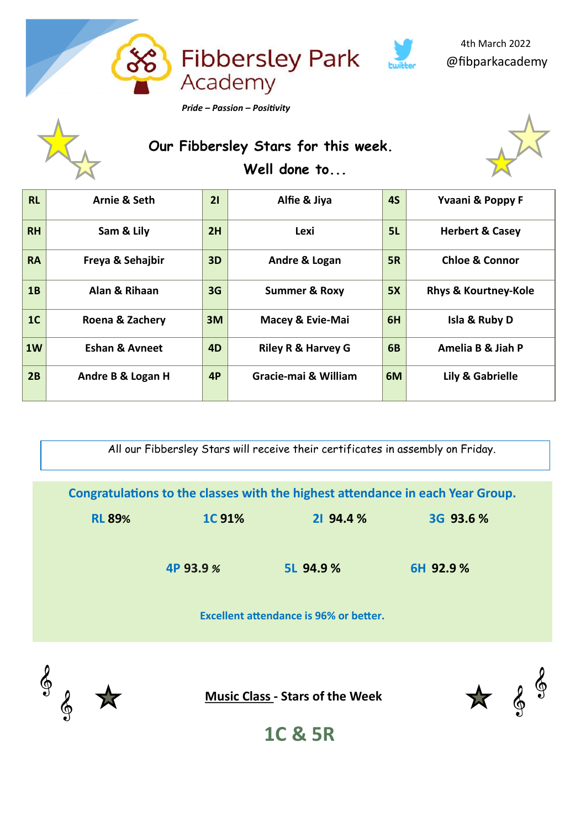

 **Our Fibbersley Stars for this week. Well done to...**



| <b>RL</b>      | Arnie & Seth              | 21             | Alfie & Jiya                  | <b>4S</b>      | Yvaani & Poppy F                |
|----------------|---------------------------|----------------|-------------------------------|----------------|---------------------------------|
| <b>RH</b>      | Sam & Lily                | 2H             | Lexi                          | 5L             | <b>Herbert &amp; Casey</b>      |
| <b>RA</b>      | Freya & Sehajbir          | 3D             | Andre & Logan                 | <b>5R</b>      | <b>Chloe &amp; Connor</b>       |
| 1B             | Alan & Rihaan             | 3G             | <b>Summer &amp; Roxy</b>      | 5X             | <b>Rhys &amp; Kourtney-Kole</b> |
| 1 <sub>C</sub> | Roena & Zachery           | 3M             | Macey & Evie-Mai              | 6H             | Isla & Ruby D                   |
| 1W             | <b>Eshan &amp; Avneet</b> | 4 <sub>D</sub> | <b>Riley R &amp; Harvey G</b> | 6 <sub>B</sub> | Amelia B & Jiah P               |
| 2B             | Andre B & Logan H         | 4P             | Gracie-mai & William          | 6M             | Lily & Gabrielle                |

All our Fibbersley Stars will receive their certificates in assembly on Friday.

|               |               |                                        | Congratulations to the classes with the highest attendance in each Year Group. |  |
|---------------|---------------|----------------------------------------|--------------------------------------------------------------------------------|--|
| <b>RL 89%</b> | <b>1C 91%</b> | 21 94.4 %                              | 3G 93.6 %                                                                      |  |
|               | 4P 93.9 %     | 5L 94.9 %                              | 6H 92.9 %                                                                      |  |
|               |               | Excellent attendance is 96% or better. |                                                                                |  |



**Music Class - Stars of the Week**



**1C & 5R**